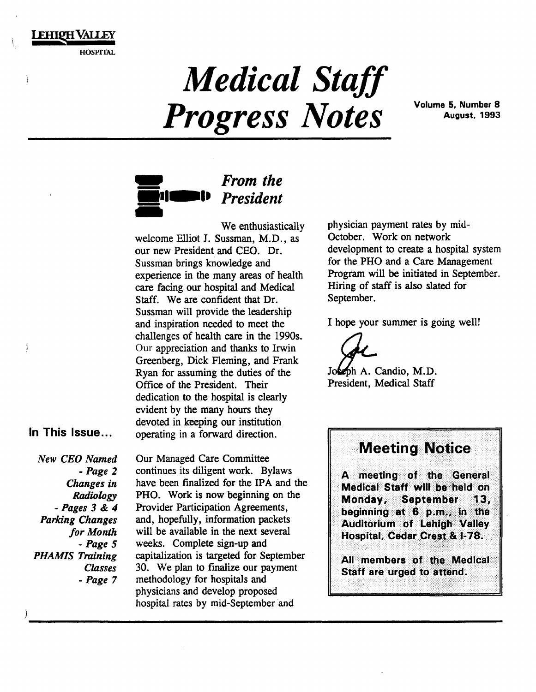### **EHIPH VALLEY**

HOSPITAL

# *Medical Staff Progress Notes* Volume 5, Number 8

August, 1993



We enthusiastically welcome Elliot J. Sussman, M.D., as our new President and CEO. Dr. Sussman brings knowledge and experience in the many areas of health care facing our hospital and Medical Staff. We are confident that Dr. Sussman will provide the leadership and inspiration needed to meet the challenges of health care in the 1990s. Our appreciation and thanks to Irwin Greenberg, Dick Fleming, and Frank Ryan for assuming the duties of the Office of the President. Their dedication to the hospital is clearly evident by the many hours they devoted in keeping our institution operating in a forward direction.

#### In This Issue ...

Ì

*New CEO Named -Page 2 Changes in Radiology -Pages 3* & *4 Parking Changes for Month -Page 5 PHAMIS Training Classes -Page 7*  Our Managed Care Committee continues its diligent work. Bylaws have been finalized for the IPA and the PHO. Work is now beginning on the Provider Participation Agreements, and, hopefully, information packets will be available in the next several weeks. Complete sign-up and capitalization is targeted for September 30. We plan to finalize our payment methodology for hospitals and physicians and develop proposed hospital rates by mid-September and

physician payment rates by mid-October. Work on network development to create a hospital system for the PHO and a Care Management Program will be initiated in September. Hiring of staff is also slated for September.

I hope your summer is going well!

Jokeph A. Candio, M.D. President, Medical Staff

### **Meeting Notice**

A meeting of the General Medical Staff will be held on Monday. **September** 13. beginning at 6 p.m., in the Auditorium of Lehigh Valley Hospital, Cedar Crest & I-78.

All members of the Medical Staff are urged to attend.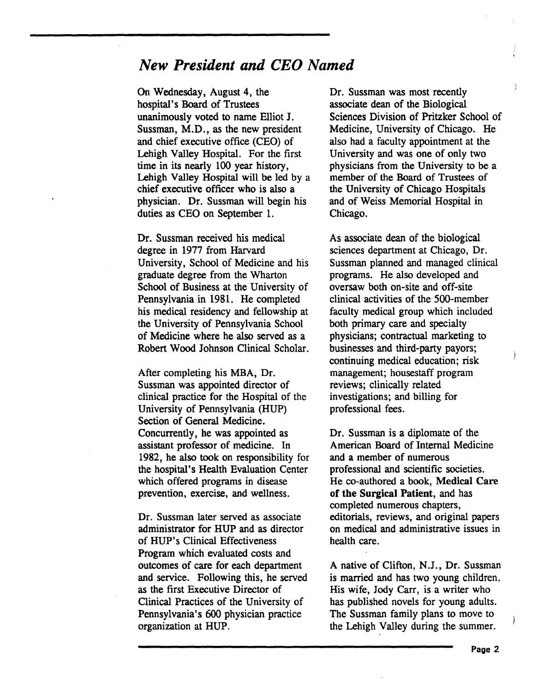### *New President and CEO Named*

On Wednesday, August 4, the hospital's Board of Trustees unanimously voted to name Elliot J. Sussman, M.D., as the new president and chief executive office (CEO) of Lehigh Valley Hospital. For the first time in its nearly 100 year history, Lehigh Valley Hospital will be led by a chief executive officer who is also a physician. Dr. Sussman will begin his duties as CEO on September 1.

Dr. Sussman received his medical degree in 1977 from Harvard University, School of Medicine and his graduate degree from the Wharton School of Business at the University of Pennsylvania in 1981. He completed his medical residency and fellowship at the University of Pennsylvania School of Medicine where he also served as a Robert Wood Johnson Clinical Scholar.

After completing his MBA, Dr. Sussman was appointed director of clinical practice for the Hospital of the University of Pennsylvania (HUP) Section of General Medicine. Concurrently, he was appointed as assistant professor of medicine. In 1982, he also took on responsibility for the hospital's Health Evaluation Center which offered programs in disease prevention, exercise, and wellness.

Dr. Sussman later served as associate administrator for HUP and as director of HUP's Clinical Effectiveness Program which evaluated costs and outcomes of care for each department and service. Following this, he served as the first Executive Director of Clinical Practices of the University of Pennsylvania's 600 physician practice organization at HUP.

Dr. Sussman was most recently associate dean of the Biological Sciences Division of Pritzker School of Medicine, University of Chicago. He also had a faculty appointment at the University and was one of only two physicians from the University to be a member of the Board of Trustees of the University of Chicago Hospitals and of Weiss Memorial Hospital in Chicago.

As associate dean of the biological sciences department at Chicago, Dr. Sussman planned and managed clinical programs. He also developed and oversaw both on-site and off-site clinical activities of the 500-member faculty medical group which included both primary care and specialty physicians; contractual marketing to businesses and third-party payors; continuing medical education; risk management; housestaff program reviews; clinically related investigations; and billing for professional fees.

Dr. Sussman is a diplomate of the American Board of Internal Medicine and a member of numerous professional and scientific societies. He co-authored a book, Medical Care of the Surgical Patient, and has completed numerous chapters, editorials, reviews, and original papers on medical and administrative issues in health care.

A native of Clifton, N.J., Dr. Sussman is married and has two young children. His wife, Jody Carr, is a writer who has published novels for young adults. The Sussman family plans to move to the Lehigh Valley during the summer.

 $\frac{1}{2}$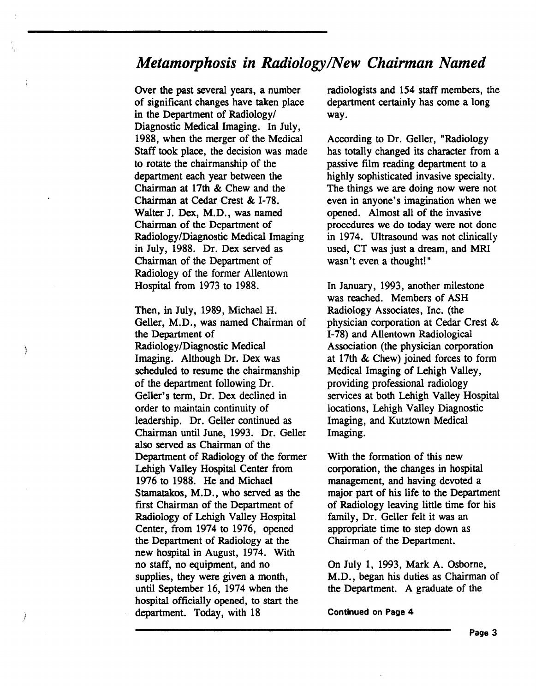### *Metamorphosis in Radiology/New Chairman Named*

Over the past several years, a number of significant changes have taken place in the Department of Radiology/ Diagnostic Medical Imaging. In July, 1988, when the merger of the Medical Staff took place, the decision was made to rotate the chairmanship of the department each year between the Chairman at 17th & Chew and the Chairman at Cedar Crest & I-78. Walter J. Dex, M.D., was named Chairman of the Department of Radiology/Diagnostic Medical Imaging in July, 1988. Dr. Dex served as Chairman of the Department of Radiology of the former Allentown Hospital from 1973 to 1988.

Then, in July, 1989, Michael H. Geller, M.D., was named Chairman of the Department of Radiology /Diagnostic Medical Imaging. Although Dr. Dex was scheduled to resume the chairmanship of the department following Dr. Geller's term, Dr. Dex declined in order to maintain continuity of leadership. Dr. Geller continued as Chairman until June, 1993. Dr. Geller also served as Chairman of the Department of Radiology of the former Lehigh Valley Hospital Center from 1976 to 1988. He and Michael Stamatakos, M.D., who served as the first Chairman of the Department of Radiology of Lehigh Valley Hospital Center, from 1974 to 1976, opened the Department of Radiology at the new hospital in August, 1974. With no staff, no equipment, and no supplies, they were given a month, until September 16, 1974 when the hospital officially opened, to start the department. Today, with 18

)

Ì

radiologists and 154 staff members, the department certainly has come a long way.

According to Dr. Geller, "Radiology has totally changed its character from a passive film reading department to a highly sophisticated invasive specialty. The things we are doing now were not even in anyone's imagination when we opened. Almost all of the invasive procedures we do today were not done in 1974. Ultrasound was not clinically used, CT was just a dream, and MRI wasn't even a thought!"

In January, 1993, another milestone was reached. Members of ASH Radiology Associates, Inc. (the physician corporation at Cedar Crest & 1-78) and Allentown Radiological Association (the physician corporation at 17th & Chew) joined forces to form Medical Imaging of Lehigh Valley, providing professional radiology services at both Lehigh Valley Hospital locations, Lehigh Valley Diagnostic Imaging, and Kutztown Medical Imaging.

With the formation of this new corporation, the changes in hospital management, and having devoted a major part of his life to the Department of Radiology leaving little time for his family, Dr. Geller felt it was an appropriate time to step down as Chairman of the Department.

On July 1, 1993, Mark A. Osborne, M.D., began his duties as Chairman of the Department. A graduate of the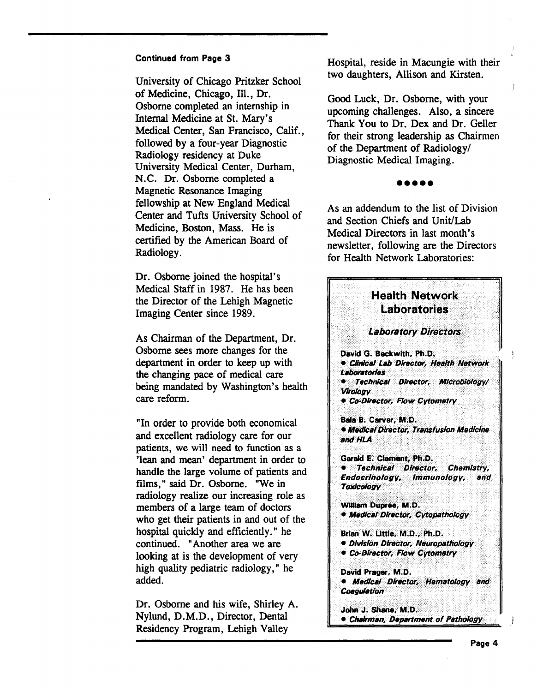University of Chicago Pritzker School of Medicine, Chicago, Ill., Dr. Osborne completed an internship in Internal Medicine at St. Mary's Medical Center, San Francisco, Calif., followed by a four-year Diagnostic Radiology residency at Duke University Medical Center, Durham, N.C. Dr. Osborne completed a Magnetic Resonance Imaging fellowship at New England Medical Center and Tufts University School of Medicine, Boston, Mass. He is certified by the American Board of Radiology.

Dr. Osborne joined the hospital's Medical Staff in 1987. He has been the Director of the Lehigh Magnetic Imaging Center since 1989.

As Chairman of the Department, Dr. Osborne sees more changes for the department in order to keep up with the changing pace of medical care being mandated by Washington's health care reform.

"In order to provide both economical and excellent radiology care for our patients, we will need to function as a 'lean and mean' department in order to handle the large volume of patients and films," said Dr. Osborne. "We in radiology realize our increasing role as members of a large team of doctors who get their patients in and out of the hospital quickly and efficiently." he continued. "Another area we are looking at is the development of very high quality pediatric radiology," he added.

Dr. Osborne and his wife, Shirley A. Nylund, D.M.D., Director, Dental Residency Program, Lehigh Valley

Hospital, reside in Macungie with their two daughters, Allison and Kirsten.

Good Luck, Dr. Osborne, with your upcoming challenges. Also, a sincere Thank You to Dr. Dex and Dr. Geller for their strong leadership as Chairmen of the Department of Radiology/ Diagnostic Medical Imaging.

## •••••

As an addendum to the list of Division and Section Chiefs and Unit/Lab Medical Directors in last month's newsletter, following are the Directors for Health Network Laboratories:

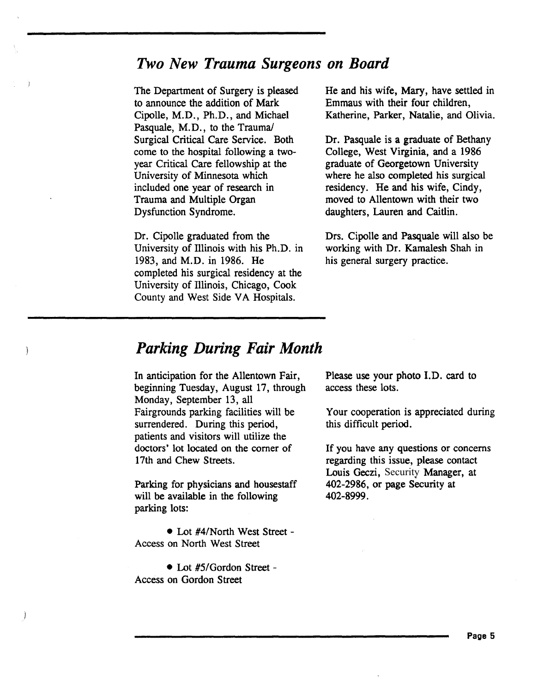### *Two New Trauma Surgeons on Board*

The Department of Surgery is pleased to announce the addition of Mark Cipolle, M.D., Ph.D., and Michael Pasquale, M.D., to the Trauma/ Surgical Critical Care Service. Both come to the hospital following a twoyear Critical Care fellowship at the University of Minnesota which included one year of research in Trauma and Multiple Organ Dysfunction Syndrome.

Dr. Cipolle graduated from the University of Illinois with his Ph.D. in 1983, and M.D. in 1986. He completed his surgical residency at the University of Illinois, Chicago, Cook County and West Side VA Hospitals.

He and his wife, Mary, have settled in Emmaus with their four children, Katherine, Parker, Natalie, and Olivia.

Dr. Pasquale is a graduate of Bethany College, West Virginia, and a 1986 graduate of Georgetown University where he also completed his surgical residency. He and his wife, Cindy, moved to Allentown with their two daughters, Lauren and Caitlin.

Drs. Cipolle and Pasquale will also be working with Dr. Kamalesh Shah in his general surgery practice.

### *Parking During Fair Month*

In anticipation for the Allentown Fair, beginning Tuesday, August 17, through Monday, September 13, all Fairgrounds parking facilities will be surrendered. During this period, patients and visitors will utilize the doctors' lot located on the comer of 17th and Chew Streets.

Parking for physicians and housestaff will be available in the following parking lots:

• Lot #4/North West Street - Access on North West Street

• Lot #5/Gordon Street -Access on Gordon Street

Please use your photo I.D. card to access these lots.

Your cooperation is appreciated during this difficult period.

If you have any questions or concerns regarding this issue, please contact Louis Geczi, Security Manager, at 402-2986, or page Security at 402-8999.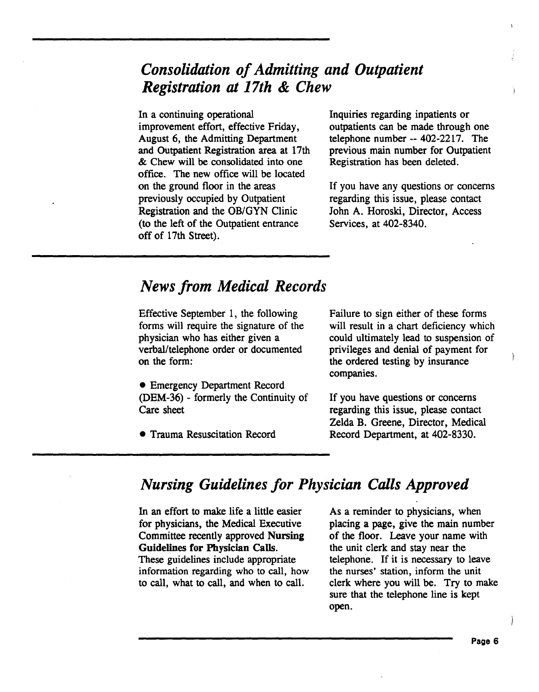### *Consolidation of Admitting and Outpatient Registration at 17th* & *Chew*

In a continuing operational improvement effort, effective Friday, August 6, the Admitting Department and Outpatient Registration area at 17th & Chew will be consolidated into one office. The new office will be located on the ground floor in the areas previously occupied by Outpatient Registration and the OB/GYN Clinic (to the left of the Outpatient entrance off of 17th Street).

Inquiries regarding inpatients or outpatients can be made through one telephone number-- 402-2217. The previous main number for Outpatient Registration has been deleted.

If you have any questions or concerns regarding this issue, please contact John A. Horoski, Director, Access Services, at 402-8340.

### *News from Medical Records*

Effective September 1, the following forms will require the signature of the physician who has either given a verbal/telephone order or documented on the form:

• Emergency Department Record (DEM-36)- formerly the Continuity of Care sheet

• Trauma Resuscitation Record

Failure to sign either of these forms will result in a chart deficiency which could ultimately lead to suspension of privileges and denial of payment for the ordered testing by insurance companies.

If you have questions or concerns regarding this issue, please contact Zelda B. Greene, Director, Medical Record Department, at 402-8330.

### *Nursing Guidelines for Physician Calls Approved*

In an effort to make life a little easier for physicians, the Medical Executive Committee recently approved Nursing Guidelines for Physician Calls. These guidelines include appropriate information regarding who to call, how to call, what to call, and when to call.

As a reminder to physicians, when placing a page, give the main number of the floor. Leave your name with the unit clerk and stay near the telephone. If it is necessary to leave the nurses' station, inform the unit clerk where you will be. Try to make sure that the telephone line is kept open.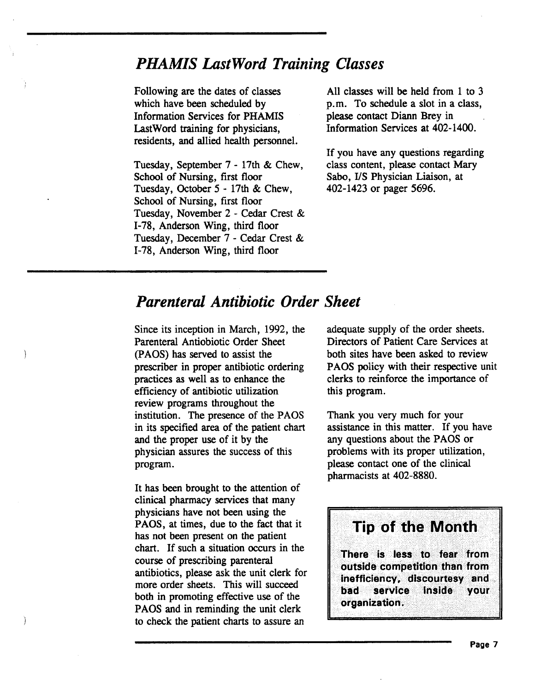### *PHAMIS LastWord Training Classes*

Following are the dates of classes which have been scheduled by Information Services for PHAMIS LastWord training for physicians, residents, and allied health personnel.

Tuesday, September 7 - 17th & Chew, School of Nursing, first floor Tuesday, October 5 - 17th & Chew, School of Nursing, first floor Tuesday, November 2 - Cedar Crest & 1-78, Anderson Wing, third floor Tuesday, December 7 - Cedar Crest & 1-78, Anderson Wing, third floor

All classes will be held from 1 to 3 p.m. To schedule a slot in a class, please contact Diann Brey in Information Services at 402-1400.

If you have any questions regarding class content, please contact Mary Sabo, I/S Physician Liaison, at 402-1423 or pager 5696.

### *Parenteral Antibiotic Order Sheet*

Since its inception in March, 1992, the Parenteral Antiobiotic Order Sheet (PAOS) has served to assist the prescriber in proper antibiotic ordering practices as well as to enhance the efficiency of antibiotic utilization review programs throughout the institution. The presence of the PAOS in its specified area of the patient chart and the proper use of it by the physician assures the success of this program.

It has been brought to the attention of clinical pharmacy services that many physicians have not been using the PAOS, at times, due to the fact that it has not been present on the patient chart. If such a situation occurs in the course of prescribing parenteral antibiotics, please ask the unit clerk for more order sheets. This will succeed both in promoting effective use of the PAOS and in reminding the unit clerk to check the patient charts to assure an

adequate supply of the order sheets. Directors of Patient Care Services at both sites have been asked to review PAOS policy with their respective unit clerks to reinforce the importance of this program.

Thank you very much for your assistance in this matter. If you have any questions about the PAOS or problems with its proper utilization, please contact one of the clinical pharmacists at 402-8880.

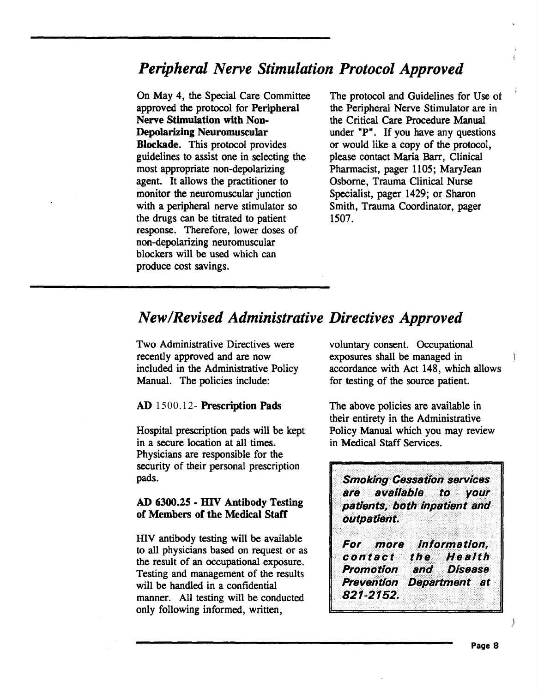### *Peripheral Nerve Stimulation Protocol Approved*

On May 4, the Special Care Committee approved the protocol for Peripheral Nerve Stimulation with Non-Depolarizing Neuromuscular Blockade. This protocol provides guidelines to assist one in selecting the most appropriate non-depolarizing agent. It allows the practitioner to monitor the neuromuscular junction with a peripheral nerve stimulator so the drugs can be titrated to patient response. Therefore, lower doses of non-depolarizing neuromuscular blockers will be used which can produce cost savings.

The protocol and Guidelines for Use ot the Peripheral Nerve Stimulator are in the Critical Care Procedure Manual under "P". If you have any questions or would like a copy of the protocol, please contact Maria Barr, Clinical Pharmacist, pager 1105; Mary Jean Osborne, Trauma Clinical Nurse Specialist, pager 1429; or Sharon Smith, Trauma Coordinator, pager 1507.

### *New/Revised Administrative Directives Approved*

Two Administrative Directives were recently approved and are now included in the Administrative Policy Manual. The policies include:

#### AD 1500.12- Prescription Pads

Hospital prescription pads will be kept in a secure location at all times. Physicians are responsible for the security of their personal prescription pads.

#### AD 6300.25 - HIV Antibody Testing of Members of the Medical Staff

HIV antibody testing will be available to all physicians based on request or as the result of an occupational exposure. Testing and management of the results will be handled in a confidential manner. All testing will be conducted only following informed, written,

voluntary consent. Occupational exposures shall be managed in accordance with Act 148, which allows for testing of the source patient.

The above policies are available in their entirety in the Administrative Policy Manual which you may review in Medical Staff Services.

**Smoking Cessation services** are available to *VOUr* patients, both inpatient and outpatient.

...... rnore · *·1nlor:ristiol1, coittact* · *tliil/. #'elilth* . *l'tcimotloil* irliJ *bisliase* **Prevention Department at** 821-2152.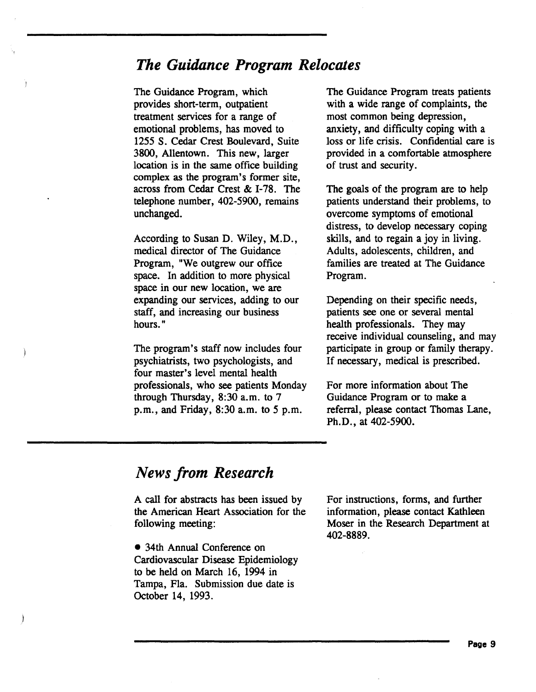### *The Guidance Program Relocates*

The Guidance Program, which provides short-term, outpatient treatment services for a range of emotional problems, has moved to 1255 S. Cedar Crest Boulevard, Suite 3800, Allentown. This new, larger location is in the same office building complex as the program's former site, across from Cedar Crest & 1-78. The telephone number, 402-5900, remains unchanged.

According to Susan D. Wiley, M.D., medical director of The Guidance Program, "We outgrew our office space. In addition to more physical space in our new location, we are expanding our services, adding to our staff, and increasing our business hours."

The program's staff now includes four psychiatrists, two psychologists, and four master's level mental health professionals, who see patients Monday through Thursday, 8:30 a.m. to 7 p.m., and Friday, 8:30a.m. to *5* p.m.

The Guidance Program treats patients with a wide range of complaints, the most common being depression, anxiety, and difficulty coping with a loss or life crisis. Confidential care is provided in a comfortable atmosphere of trust and security.

The goals of the program are to help patients understand their problems, to overcome symptoms of emotional distress, to develop necessary coping skills, and to regain a joy in living. Adults, adolescents, children, and families are treated at The Guidance Program.

Depending on their specific needs, patients see one or several mental health professionals. They may receive individual counseling, and may participate in group or family therapy. If necessary, medical is prescribed.

For more information about The Guidance Program or to make a referral, please contact Thomas Lane, Ph.D., at 402-5900.

### *News from Research*

A call for abstracts has been issued by the American Heart Association for the following meeting:

• 34th Annual Conference on Cardiovascular Disease Epidemiology to be held on March 16, 1994 in Tampa, Fla. Submission due date is October 14, 1993.

For instructions, forms, and further information, please contact Kathleen Moser in the Research Department at 402-8889.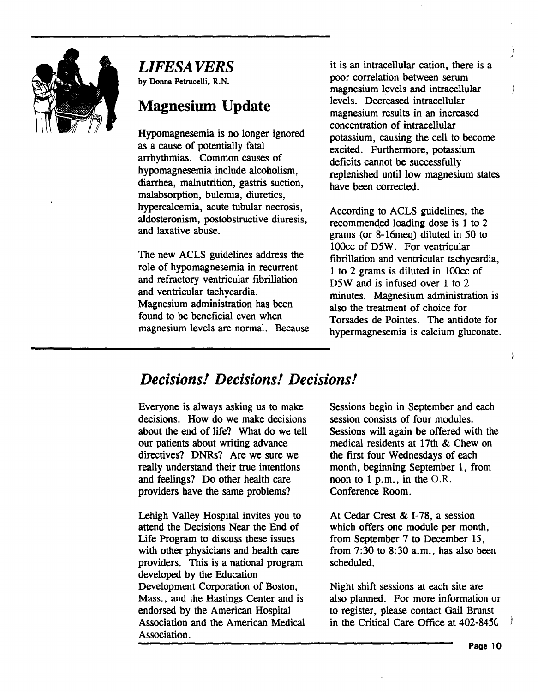

### *LIFESAVERS*

by Donna Petrucelli, R.N.

### **Magnesium Update**

Hypomagnesemia is no longer ignored as a cause of potentially fatal arrhythmias. Common causes of hypomagnesemia include alcoholism, diarrhea, malnutrition, gastris suction, malabsorption, bulemia, diuretics, hypercalcemia, acute tubular necrosis, aldosteronism, postobstructive diuresis, and laxative abuse.

The new ACLS guidelines address the role of hypomagnesemia in recurrent and refractory ventricular fibrillation and ventricular tachycardia. Magnesium administration has been found to be beneficial even when magnesium levels are normal. Because it is an intracellular cation, there is a poor correlation between serum magnesium levels and intracellular levels. Decreased intracellular magnesium results in an increased concentration of intracellular potassium, causing the cell to become excited. Furthermore, potassium deficits cannot be successfully replenished until low magnesium states have been corrected.

According to ACLS guidelines, the recommended loading dose is 1 to 2 grams (or 8-16meq) diluted in 50 to lOOcc of D5W. For ventricular fibrillation and ventricular tachycardia, 1 to 2 grams is diluted in lOOcc of D5W and is infused over 1 to 2 minutes. Magnesium administration is also the treatment of choice for Torsades de Pointes. The antidote for hypermagnesemia is calcium gluconate.

### *Decisions! Decisions! Decisions!*

Everyone is always asking us to make decisions. How do we make decisions about the end of life? What do we tell our patients about writing advance directives? DNRs? Are we sure we really understand their true intentions and feelings? Do other health care providers have the same problems?

Lehigh Valley Hospital invites you to attend the Decisions Near the End of Life Program to discuss these issues with other physicians and health care providers. This is a national program developed by the Education Development Corporation of Boston, Mass., and the Hastings Center and is endorsed by the American Hospital Association and the American Medical Association.

Sessions begin in September and each session consists of four modules. Sessions will again be offered with the medical residents at 17th & Chew on the first four Wednesdays of each month, beginning September 1, from noon to 1 p.m., in the O.R. Conference Room.

At Cedar Crest & I-78, a session which offers one module per month, from September 7 to December 15, from 7:30 to 8:30 a.m., has also been scheduled.

Night shift sessions at each site are also planned. For more information or to register, please contact Gail Brunst in the Critical Care Office at 402-845C

À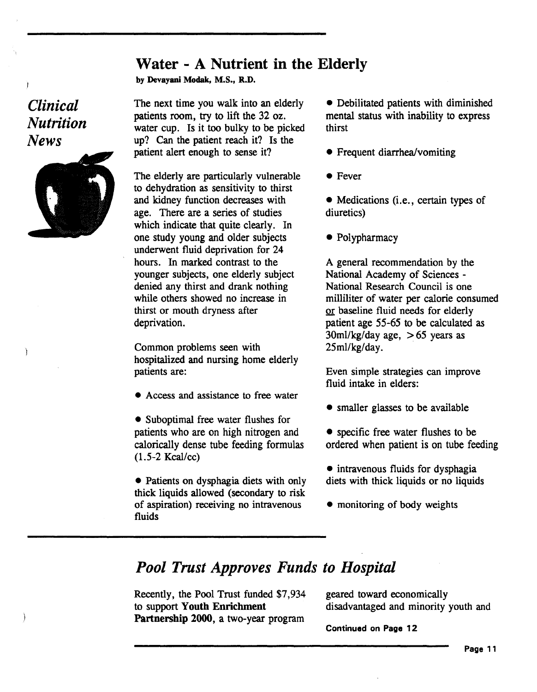### Water- A Nutrient in the Elderly

by Devayani Modak, M.S., R.D.

*Clinical Nutrition News* 



The next time you walk into an elderly patients room, try to lift the 32 oz. water cup. Is it too bulky to be picked up? Can the patient reach it? Is the patient alert enough to sense it?

The elderly are particularly vulnerable to dehydration as sensitivity to thirst and kidney function decreases with age. There are a series of studies which indicate that quite clearly. In one study young and older subjects underwent fluid deprivation for 24 hours. In marked contrast to the younger subjects, one elderly subject denied any thirst and drank nothing while others showed no increase in thirst or mouth dryness after deprivation.

Common problems seen with hospitalized and nursing home elderly patients are:

• Access and assistance to free water

• Suboptimal free water flushes for patients who are on high nitrogen and calorically dense tube feeding formulas  $(1.5-2$  Kcal/cc)

• Patients on dysphagia diets with only thick liquids allowed (secondary to risk of aspiration) receiving no intravenous fluids

• Debilitated patients with diminished mental status with inability to express thirst

- Frequent diarrhea/vomiting
- Fever
- Medications (i.e., certain types of diuretics)
- Polypharmacy

A general recommendation by the National Academy of Sciences - National Research Council is one milliliter of water per calorie consumed or baseline fluid needs for elderly patient age 55-65 to be calculated as 30ml/kg/day age,  $> 65$  years as  $25$ ml/ $kg$ /day.

Even simple strategies can improve fluid intake in elders:

- smaller glasses to be available
- specific free water flushes to be ordered when patient is on tube feeding
- intravenous fluids for dysphagia diets with thick liquids or no liquids
- monitoring of body weights

### *Pool Trust Approves Funds to Hospital*

Recently, the Pool Trust funded \$7,934 to support Youth Enrichment Partnership 2000, a two-year program

geared toward economically disadvantaged and minority youth and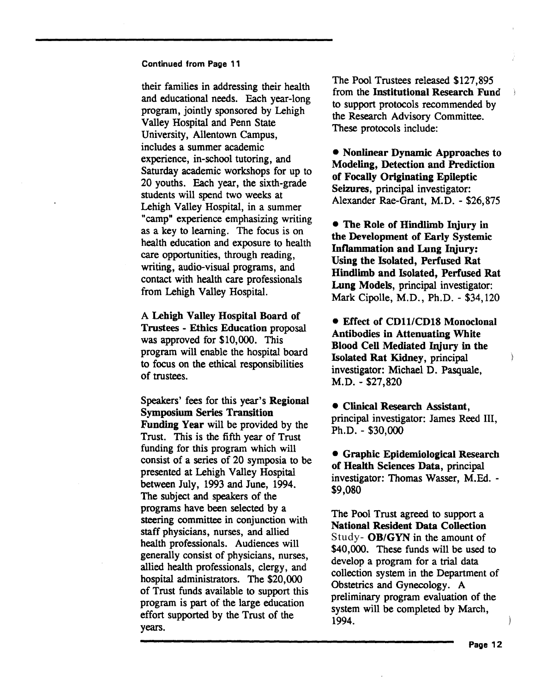their families in addressing their health and educational needs. Each year-long program, jointly sponsored by Lehigh Valley Hospital and Penn State University, Allentown Campus, includes a summer academic experience, in-school tutoring, and Saturday academic workshops for up to 20 youths. Each year, the sixth-grade students will spend two weeks at Lehigh Valley Hospital, in a summer "camp" experience emphasizing writing as a key to learning. The focus is on health education and exposure to health care opportunities, through reading, writing, audio-visual programs, and contact with health care professionals from Lehigh Valley Hospital.

A Lehigh Valley Hospital Board of Trustees - Ethics Education proposal was approved for \$10,000. This program will enable the hospital board to focus on the ethical responsibilities of trustees.

Speakers' fees for this year's Regional Symposium Series Transition Funding Year will be provided by the Trust. This is the fifth year of Trust funding for this program which will consist of a series of 20 symposia to be presented at Lehigh Valley Hospital between July, 1993 and June, 1994. The subject and speakers of the programs have been selected by a steering committee in conjunction with staff physicians, nurses, and allied health professionals. Audiences will generally consist of physicians, nurses, allied health professionals, clergy, and hospital administrators. The \$20,000. of Trust funds available to support this program is part of the large education effort supported by the Trust of the years.

The Pool Trustees released \$127,895 from the Institutional Research Fund to support protocols recommended by the Research Advisory Committee. These protocols include:

• Nonlinear Dynamic Approaches to Modeling, Detection and Prediction of Focally Originating Epileptic Seizures, principal investigator: Alexander Rae-Grant, M.D. - \$26,875

• The Role of Hindlimb Injury in the Development of Early Systemic Inflammation and Lung Injury: Using the Isolated, Perfused Rat Hindlimb and Isolated, Perfused Rat Lung Models, principal investigator: Mark Cipolle, M.D., Ph.D. - \$34,120

• Effect of CD11/CD18 Monoclonal Antibodies in Attenuating White Blood Cell Mediated Injury in the Isolated Rat Kidney, principal investigator: Michael D. Pasquale, M.D.- \$27,820

• Clinical Research Assistant, principal investigator: James Reed III, Ph.D. - \$30,000

• Graphic Epidemiological Research of Health Sciences Data, principal investigator: Thomas Wasser, M.Ed. - \$9,080

The Pool Trust agreed to support a National Resident Data Collection Study- OB/GYN in the amount of \$40,000. These funds will be used to develop a program for a trial data collection system in the Department of Obstetrics and Gynecology. A preliminary program evaluation of the system will be completed by March, 1994.

ì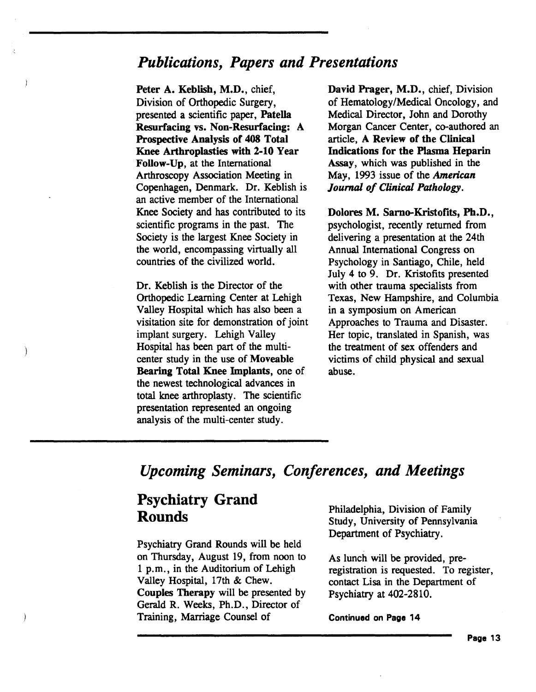### *Publications, Papers and Presentations*

Peter A. Keblish, M.D., chief, Division of Orthopedic Surgery, presented a scientific paper, Patella Resurfacing vs. Non-Resurfacing: A Prospective Analysis of 408 Total Knee Arthroplasties with 2-10 Year Follow-Up, at the International Arthroscopy Association Meeting in Copenhagen, Denmark. Dr. Keblish is an active member of the International Knee Society and has contributed to its scientific programs in the past. The Society is the largest Knee Society in the world, encompassing virtually all countries of the civilized world.

Dr. Keblish is the Director of the Orthopedic Learning Center at Lehigh Valley Hospital which has also been a visitation site for demonstration of joint implant surgery. Lehigh Valley Hospital has been part of the multicenter study in the use of Moveable Bearing Total Knee Implants, one of the newest technological advances in total knee arthroplasty. The scientific presentation represented an ongoing analysis of the multi-center study.

David Prager, M.D., chief, Division of Hematology/Medical Oncology, and Medical Director, John and Dorothy Morgan Cancer Center, co-authored an article, A Review of the Clinical Indications for the Plasma Heparin Assay, which was published in the May, 1993 issue of the *American Journal of Clinical Pathology.* 

Dolores M. Sarno-Kristofits, Ph.D., psychologist, recently returned from delivering a presentation at the 24th Annual International Congress on Psychology in Santiago, Chile, held July 4 to 9. Dr. Kristofits presented with other trauma specialists from Texas, New Hampshire, and Columbia in a symposium on American Approaches to Trauma and Disaster. Her topic, translated in Spanish, was the treatment of sex offenders and victims of child physical and sexual abuse.

### *Upcoming Seminars, Conferences, and Meetings*

### Psychiatry Grand Rounds

Psychiatry Grand Rounds will be held on Thursday, August 19, from noon to 1 p.m., in the Auditorium of Lehigh Valley Hospital, 17th & Chew. Couples Therapy will be presented by Gerald R. Weeks, Ph.D., Director of Training, Marriage Counsel of

Philadelphia, Division of Family Study, University of Pennsylvania Department of Psychiatry.

As lunch will be provided, preregistration is requested. To register, contact Lisa in the Department of Psychiatry at 402-2810.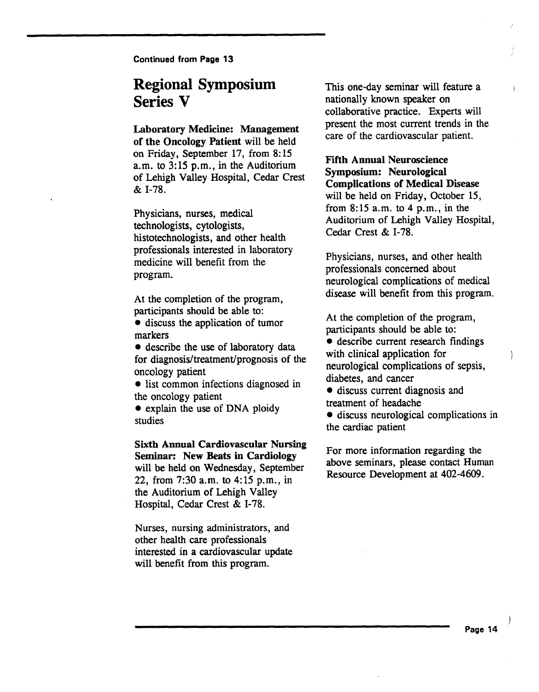### Regional Symposium Series V

#### Laboratory Medicine: Management

of the Oncology Patient will be held on Friday, September 17, from 8: 15 a.m. to  $3:15$  p.m., in the Auditorium of Lehigh Valley Hospital, Cedar Crest & I-78.

Physicians, nurses, medical technologists, cytologists, histotechnologists, and other health professionals interested in laboratory medicine will benefit from the program.

At the completion of the program, participants should be able to:

• discuss the application of tumor markers

• describe the use of laboratory data for diagnosis/treatment/prognosis of the oncology patient

• list common infections diagnosed in the oncology patient

• explain the use of DNA ploidy studies

#### Sixth Annual Cardiovascular Nursing Seminar: New Beats in Cardiology will be held on Wednesday, September 22, from 7:30 a.m. to 4:15 p.m., in

the Auditorium of Lehigh Valley Hospital, Cedar Crest & 1-78.

Nurses, nursing administrators, and other health care professionals interested in a cardiovascular update will benefit from this program.

This one-day seminar will feature a nationally known speaker on collaborative practice. Experts will present the most current trends in the care of the cardiovascular patient.

### Fifth Annual Neuroscience Symposium: Neurological

Complications of Medical Disease will be held on Friday, October 15, from 8:15a.m. to 4 p.m., in the Auditorium of Lehigh Valley Hospital, Cedar Crest & I-78.

Physicians, nurses, and other health professionals concerned about neurological complications of medical disease will benefit from this program.

At the completion of the program, participants should be able to:

 $\bullet$  describe current research findings with clinical application for neurological complications of sepsis diabetes, and cancer '

• discuss current diagnosis and treatment of headache

• discuss neurological complications in the cardiac patient

For more information regarding the above seminars, please contact Human Resource Development at 402-4609.

ł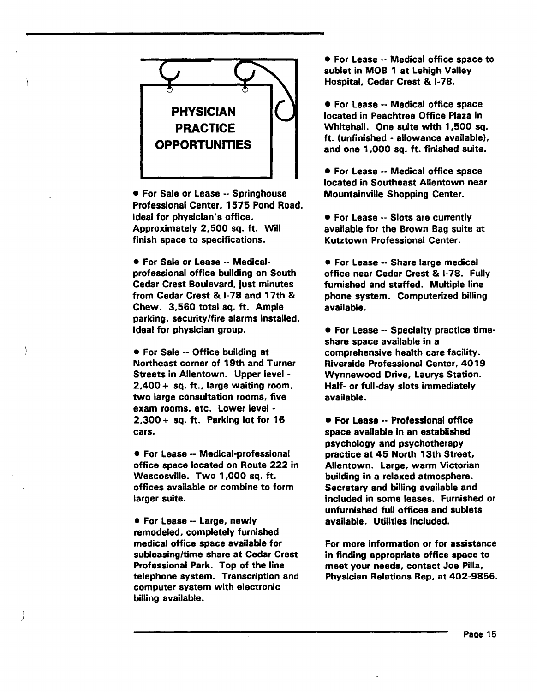

• For Sale or Lease-- Springhouse Professional Center, 1575 Pond Road. Ideal for physician's office. Approximately 2,500 sq. ft. Will finish space to specifications.

• For Sale or Lease -- Medicalprofessional office building on South Cedar Crest Boulevard, just minutes from Cedar Crest & 1-78 and 17th & Chew. 3,560 total sq. ft. Ample parking, security/fire alarms installed. Ideal for physician group.

• For Sale -- Office building at Northeast corner of 19th and Turner Streets in Allentown. Upper level -  $2,400 + sq.$  ft., large waiting room, two large consultation rooms, five exam rooms, etc. Lower level -  $2,300 + sq.$  ft. Parking lot for 16 cars.

• For Lease -- Medical-professional office space located on Route 222 in Wescosville. Two 1 ,000 sq. ft. offices available or combine to form larger suite.

• For Lease-- Large, newly remodeled, completely furnished medical office space available for subleasing/time share at Cedar Crest Professional Park. Top of the line telephone system. Transcription and computer system with electronic billing available.

• For Lease -- Medical office space to sublet in MOB 1 at Lehigh Valley Hospital, Cedar Crest & 1-78.

• For Lease -- Medical office space located in Peachtree Office Plaza in Whitehall. One suite with 1,500 sq. ft. (unfinished - allowance available), and one 1,000 sq. ft. finished suite.

• For Lease -- Medical office space located in Southeast Allentown near Mountainville Shopping Center.

• For Lease -- Slots are currently available for the Brown Bag suite at Kutztown Professional Center.

• For Lease -- Share large medical office near Cedar Crest & 1-78. Fully furnished and staffed. Multiple line phone system. Computerized billing available.

• For Lease -- Specialty practice timeshare space available in a comprehensive health care facility. Riverside Professional Center, 40 19 Wynnewood Drive, Laurys Station. Half- or full-day slots immediately available.

• For Lease -- Professional office space available in an established psychology and psychotherapy practice at 45 North 13th Street, Allentown. Large, warm Victorian building in a relaxed atmosphere. Secretary and billing available and included in some leases. Furnished or unfurnished full offices and sublets available. Utilities included.

For more information or for assistance in finding appropriate office space to meet your needs, contact Joe Pilla, Physician Relations Rep, at 402-9856.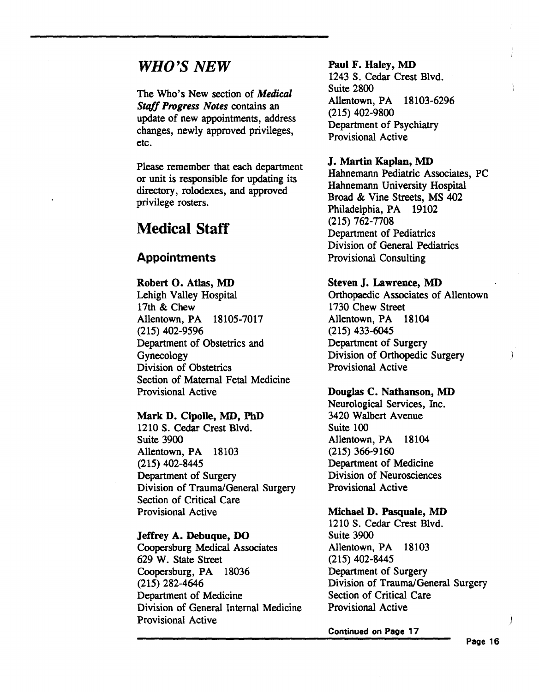### *WHO'S NEW*

The Who's New section of *Medical Stqff Progress Notes* contains an update of new appointments, address changes, newly approved privileges, etc.

Please remember that each department or unit is responsible for updating its directory, rolodexes, and approved privilege rosters.

### Medical Staff

### **Appointments**

Robert O. Atlas, MD Lehigh Valley Hospital 17th & Chew Allentown, PA 18105-7017 (215) 402-9596 Department of Obstetrics and Gynecology Division of Obstetrics Section of Maternal Fetal Medicine Provisional Active

#### Mark D. Cipolle, MD, PhD

1210 S. Cedar Crest Blvd. Suite 3900 Allentown, PA 18103 (215) 402-8445 Department of Surgery Division of Trauma/General Surgery Section of Critical Care Provisional Active

#### Jeffrey A. Debuque, DO

Coopersburg Medical Associates 629 W. State Street Coopersburg, PA 18036 (215) 282-4646 Department of Medicine Division of General Internal Medicine Provisional Active

Paul F. Haley, MD 1243 S. Cedar Crest Blvd. Suite 2800 Allentown, PA 18103-6296 (215) 402-9800 Department of Psychiatry Provisional Active

#### J. Martin Kaplan, MD

Hahnemann Pediatric Associates, PC Hahnemann University Hospital Broad & Vine Streets, MS 402 Philadelphia, PA 19102 (215) 762-7708 Department of Pediatrics Division of General Pediatrics Provisional Consulting

#### Steven J. Lawrence, MD

Orthopaedic Associates of Allentown 1730 Chew Street Allentown, PA 18104 (215) 433-6045 Department of Surgery Division of Orthopedic Surgery Provisional Active

#### Douglas C. Nathanson, MD

Neurological Services, Inc. 3420 Walbert Avenue Suite 100 Allentown, PA 18104 (215) 366-9160 Department of Medicine Division of Neurosciences Provisional Active

#### Michael D. Pasquale, MD

1210 S. Cedar Crest Blvd. Suite 3900 Allentown, PA 18103 (215) 402-8445 Department of Surgery Division of Trauma/General Surgery Section of Critical Care Provisional Active

Continued on Page 17

Page 16

∤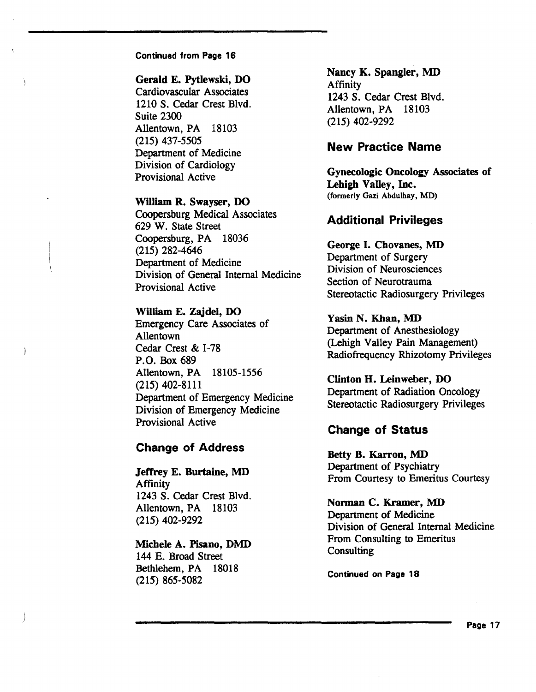#### Gerald E. Pytlewski, DO

Cardiovascular Associates 1210 S. Cedar Crest Blvd. Suite 2300 Allentown, PA 18103 (215) 437-5505 Department of Medicine Division of Cardiology Provisional Active

#### William R. Swayser, DO

Coopersburg Medical Associates 629 W. State Street Coopersburg, PA 18036 (215) 282-4646 Department of Medicine Division of General Internal Medicine Provisional Active

#### William E. Zajdel,DO

Emergency Care Associates of Allentown Cedar Crest & 1-78 P.O. Box 689 Allentown, PA 18105-1556 (215) 402-8111 Department of Emergency Medicine Division of Emergency Medicine Provisional Active

#### Change of Address

Jeffrey E. Burtaine, MD Affinity 1243 S. Cedar Crest Blvd. Allentown, PA 18103 (215) 402-9292

#### Michele A. Pisano, DMD

144 E. Broad Street Bethlehem, PA 18018 (215) 865-5082

Nancy K. Spangler, MD Affinity 1243 S. Cedar Crest Blvd. Allentown, PA 18103 (215) 402-9292

#### New Practice Name

Gynecologic Oncology Associates of Lehigh Valley, Inc. (formerly Gazi Abdulhay, MD)

#### Additional Privileges

### George I. Chovanes, MD

Department of Surgery Division of Neurosciences Section of Neurotrauma Stereotactic Radiosurgery Privileges

#### Yasin N. Khan, MD

Department of Anesthesiology (Lehigh Valley Pain Management) Radiofrequency Rhizotomy Privileges

#### Clinton H. Leinweber, DO

Department of Radiation Oncology Stereotactic Radiosurgery Privileges

#### Change of Status

Betty B. Karron, MD Department of Psychiatry From Courtesy to Emeritus Courtesy

#### Norman C. Kramer, MD

Department of Medicine Division of General Internal Medicine From Consulting to Emeritus Consulting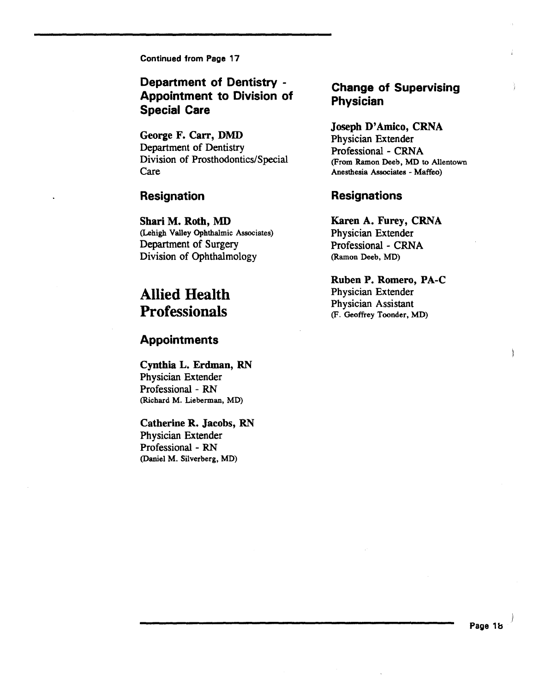### Department of Dentistry - Appointment to Division of Special Care

George F. Carr, DMD Department of Dentistry Division of Prosthodontics/Special Care

#### Resignation

Shari M. Roth, MD (Lehigh Valley Ophthalmic Associates) Department of Surgery Division of Ophthalmology

### Allied Health **Professionals**

#### Appointments

Cynthia L. Erdman, RN Physician Extender Professional - RN (Richard M. Lieberman, MD)

Catherine R. Jacobs, RN Physician Extender Professional - RN (Daniel M. Silverberg, MD)

### Change of Supervising Physician

#### Joseph D'Amico, CRNA

Physician Extender Professional- CRNA (From Ramon Deeb, MD to Allentown Anesthesia Associates - Maffeo)

#### **Resignations**

Karen A. Furey, CRNA

Physician Extender Professional- CRNA (Ramon Deeb, MD)

Ruben P. Romero, PA-C Physician Extender Physician Assistant (F. Geoffrey Toonder, MD)